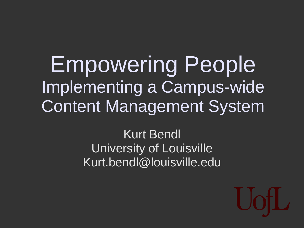Empowering People Implementing a Campus-wide Content Management System

#### Kurt Bendl University of Louisville Kurt.bendl@louisville.edu

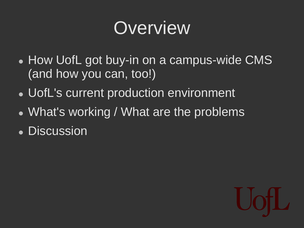## **Overview**

- How UofL got buy-in on a campus-wide CMS (and how you can, too!)
- UofL's current production environment
- What's working / What are the problems
- Discussion

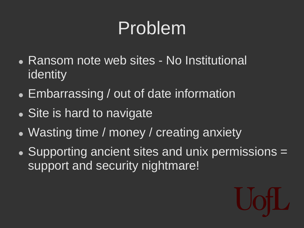## Problem

- Ransom note web sites No Institutional identity
- Embarrassing / out of date information
- Site is hard to navigate
- Wasting time / money / creating anxiety
- Supporting ancient sites and unix permissions = support and security nightmare!

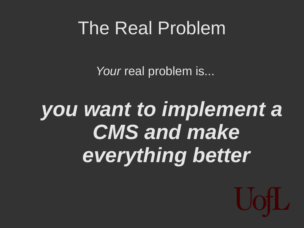## The Real Problem

*Your* real problem is...

# *you want to implement a CMS and make everything better*

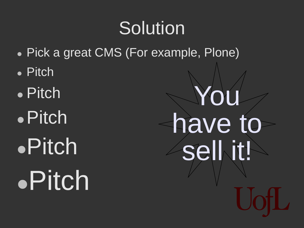## **Solution**

- Pick a great CMS (For example, Plone)
- Pitch
- Pitch Pitch Pitch Pitch

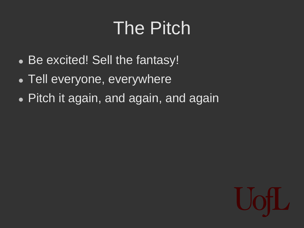## The Pitch

- Be excited! Sell the fantasy!
- Tell everyone, everywhere
- Pitch it again, and again, and again

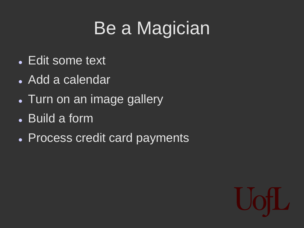## Be a Magician

- Edit some text
- Add a calendar
- Turn on an image gallery
- Build a form
- Process credit card payments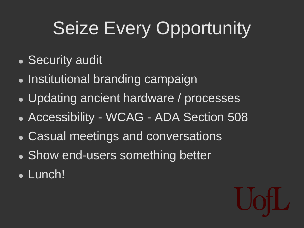# Seize Every Opportunity

- Security audit
- Institutional branding campaign
- Updating ancient hardware / processes
- Accessibility WCAG ADA Section 508
- Casual meetings and conversations
- Show end-users something better
- Lunch!

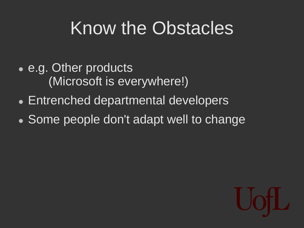## Know the Obstacles

- e.g. Other products (Microsoft is everywhere!)
- Entrenched departmental developers
- Some people don't adapt well to change

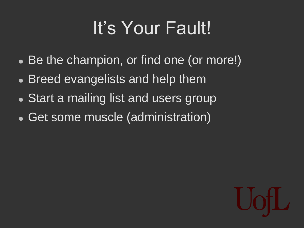## It's Your Fault!

- Be the champion, or find one (or more!)
- Breed evangelists and help them
- Start a mailing list and users group
- Get some muscle (administration)

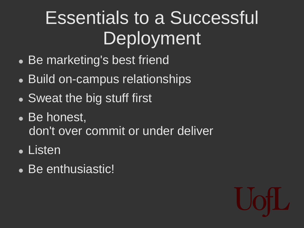## Essentials to a Successful Deployment

- Be marketing's best friend
- Build on-campus relationships
- Sweat the big stuff first
- Be honest, don't over commit or under deliver
- Listen
- Be enthusiastic!

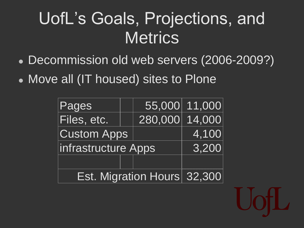## UofL's Goals, Projections, and **Metrics**

- Decommission old web servers (2006-2009?)
- Move all (IT housed) sites to Plone

| Pages                       |  | 55,000  | 11,000 |
|-----------------------------|--|---------|--------|
| Files, etc.                 |  | 280,000 | 14,000 |
| <b>Custom Apps</b>          |  |         | 4,100  |
| infrastructure Apps         |  |         | 3,200  |
|                             |  |         |        |
| Est. Migration Hours 32,300 |  |         |        |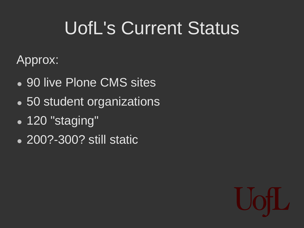## UofL's Current Status

Approx:

- 90 live Plone CMS sites
- 50 student organizations
- 120 "staging"
- 200?-300? still static

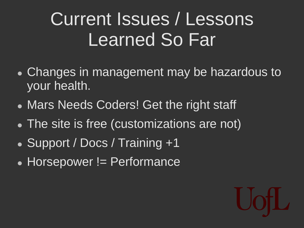## Current Issues / Lessons Learned So Far

- Changes in management may be hazardous to your health.
- Mars Needs Coders! Get the right staff
- The site is free (customizations are not)
- Support / Docs / Training +1
- Horsepower != Performance

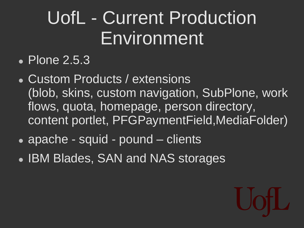## UofL - Current Production Environment

#### • Plone 2.5.3

- Custom Products / extensions (blob, skins, custom navigation, SubPlone, work flows, quota, homepage, person directory, content portlet, PFGPaymentField,MediaFolder)
- apache squid pound clients
- IBM Blades, SAN and NAS storages

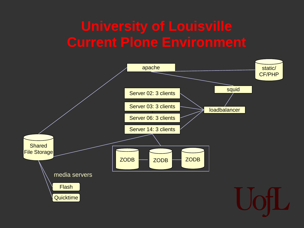### **University of Louisville Current Plone Environment**

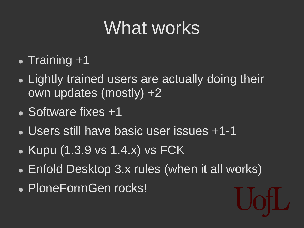## What works<sup>'</sup>

- $\bullet$  Training  $+1$
- Lightly trained users are actually doing their own updates (mostly) +2
- Software fixes +1
- Users still have basic user issues +1-1
- $\bullet$  Kupu (1.3.9 vs 1.4.x) vs FCK
- Enfold Desktop 3.x rules (when it all works)
- PloneFormGen rocks!

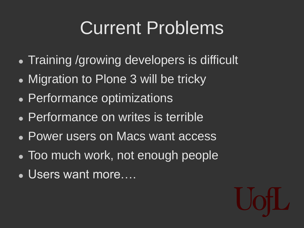## Current Problems

- Training /growing developers is difficult
- Migration to Plone 3 will be tricky
- Performance optimizations
- Performance on writes is terrible
- Power users on Macs want access
- Too much work, not enough people
- Users want more….

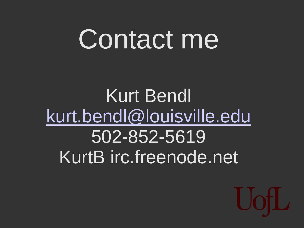# Contact me

Kurt Bendl [kurt.bendl@louisville.edu](mailto:kurt.bendl@louisville.edu) 502-852-5619 KurtB irc.freenode.net